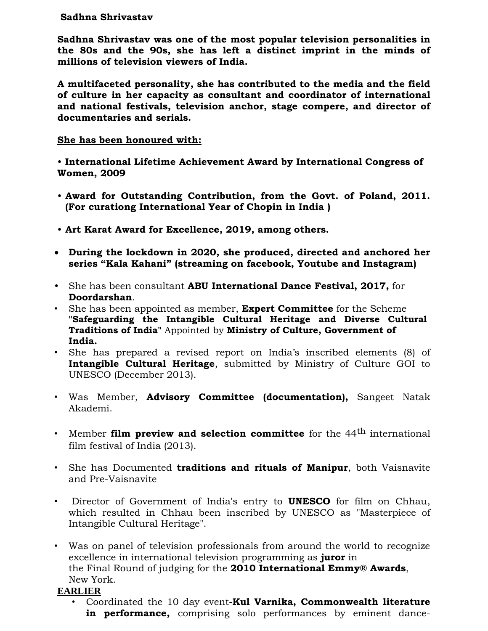## **Sadhna Shrivastav**

**Sadhna Shrivastav was one of the most popular television personalities in the 80s and the 90s, she has left a distinct imprint in the minds of millions of television viewers of India.**

**A multifaceted personality, she has contributed to the media and the field of culture in her capacity as consultant and coordinator of international and national festivals, television anchor, stage compere, and director of documentaries and serials.**

## **She has been honoured with:**

• **International Lifetime Achievement Award by International Congress of Women, 2009** 

- **Award for Outstanding Contribution, from the Govt. of Poland, 2011. (For curationg International Year of Chopin in India )**
- **Art Karat Award for Excellence, 2019, among others.**
- **During the lockdown in 2020, she produced, directed and anchored her series "Kala Kahani" (streaming on facebook, Youtube and Instagram)**
- She has been consultant **ABU International Dance Festival, 2017,** for **Doordarshan**.
- She has been appointed as member, **Expert Committee** for the Scheme **"Safeguarding the Intangible Cultural Heritage and Diverse Cultural Traditions of India"** Appointed by **Ministry of Culture, Government of India.**
- She has prepared a revised report on India's inscribed elements (8) of **Intangible Cultural Heritage**, submitted by Ministry of Culture GOI to UNESCO (December 2013).
- Was Member, **Advisory Committee (documentation),** Sangeet Natak Akademi.
- Member **film preview and selection committee** for the 44th international film festival of India (2013).
- She has Documented **traditions and rituals of Manipur**, both Vaisnavite and Pre-Vaisnavite
- [Director of Government of India's entry to](http://www.youtube.com/watch?v=u3YLq7CVavc) **UNESCO** for film on Chhau, [which resulted in Chhau been inscribed by UNESCO as "Masterpiece of](http://www.youtube.com/watch?v=u3YLq7CVavc)  [Intangible Cultural Heritage".](http://www.youtube.com/watch?v=u3YLq7CVavc)
- Was on panel of television professionals from around the world to recognize excellence in international television programming as **juror** in the Final Round of judging for the **2010 International Emmy® Awards**, New York.

## **EARLIER**

• Coordinated the 10 day event**-Kul Varnika, Commonwealth literature in performance,** comprising solo performances by eminent dance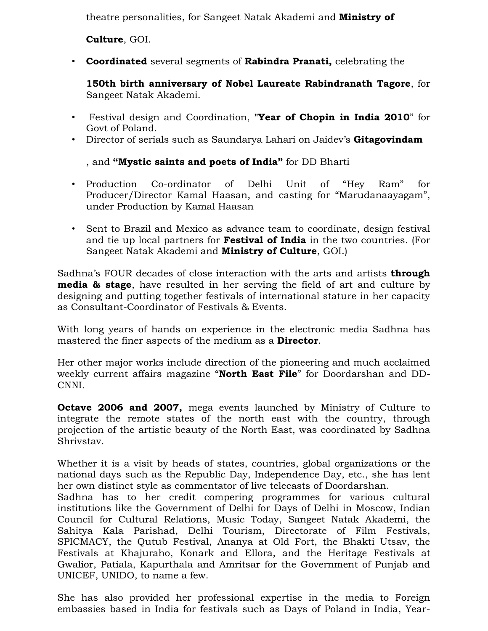theatre personalities, for Sangeet Natak Akademi and **Ministry of**

**Culture**, GOI.

• **Coordinated** several segments of **Rabindra Pranati,** celebrating the

**150th birth anniversary of Nobel Laureate Rabindranath Tagore**, for Sangeet Natak Akademi.

- [Festival design and Coordination,](http://www.nasadiyarts.com/chopin2010india.org/) **"Year of Chopin in India 2010**" for Govt of Poland.
- Director of serials such as Saundarya Lahari on Jaidev's **Gitagovindam**

, and **"Mystic saints and poets of India"** for DD Bharti

- Production Co-ordinator of Delhi Unit of "Hey Ram" for Producer/Director Kamal Haasan, and casting for "Marudanaayagam", under Production by Kamal Haasan
- Sent to Brazil and Mexico as advance team to coordinate, design festival and tie up local partners for **Festival of India** in the two countries. (For Sangeet Natak Akademi and **Ministry of Culture**, GOI.)

Sadhna's FOUR decades of close interaction with the arts and artists **through media & stage**, have resulted in her serving the field of art and culture by designing and putting together festivals of international stature in her capacity as Consultant-Coordinator of Festivals & Events.

With long years of hands on experience in the electronic media Sadhna has mastered the finer aspects of the medium as a **Director**.

Her other major works include direction of the pioneering and much acclaimed weekly current affairs magazine "**North East File**" for Doordarshan and DD-CNNI.

**Octave 2006 and 2007,** mega events launched by Ministry of Culture to integrate the remote states of the north east with the country, through projection of the artistic beauty of the North East, was coordinated by Sadhna Shrivstav.

Whether it is a visit by heads of states, countries, global organizations or the national days such as the Republic Day, Independence Day, etc., she has lent her own distinct style as commentator of live telecasts of Doordarshan.

Sadhna has to her credit compering programmes for various cultural institutions like the Government of Delhi for Days of Delhi in Moscow, Indian Council for Cultural Relations, Music Today, Sangeet Natak Akademi, the Sahitya Kala Parishad, Delhi Tourism, Directorate of Film Festivals, SPICMACY, the Qutub Festival, Ananya at Old Fort, the Bhakti Utsav, the Festivals at Khajuraho, Konark and Ellora, and the Heritage Festivals at Gwalior, Patiala, Kapurthala and Amritsar for the Government of Punjab and UNICEF, UNIDO, to name a few.

She has also provided her professional expertise in the media to Foreign embassies based in India for festivals such as Days of Poland in India, Year